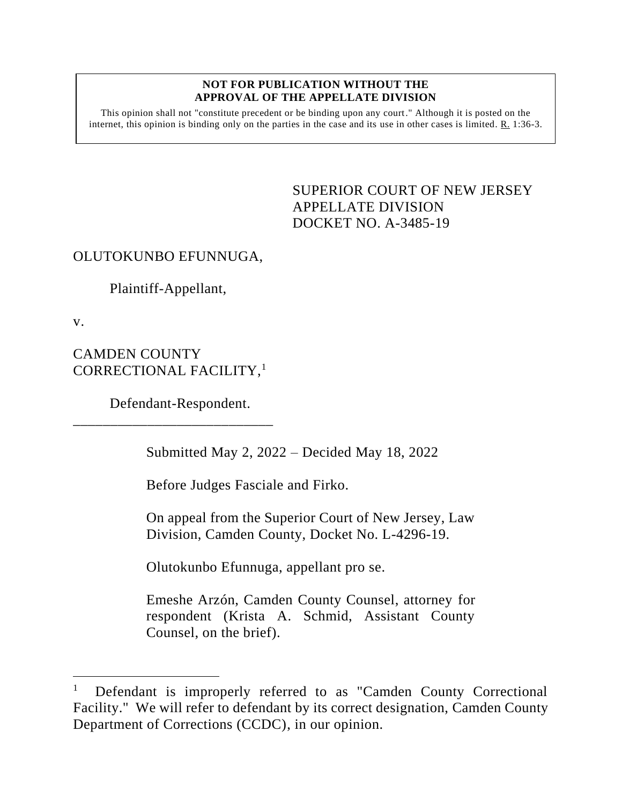## **NOT FOR PUBLICATION WITHOUT THE APPROVAL OF THE APPELLATE DIVISION**

This opinion shall not "constitute precedent or be binding upon any court." Although it is posted on the internet, this opinion is binding only on the parties in the case and its use in other cases is limited. R. 1:36-3.

> <span id="page-0-0"></span>SUPERIOR COURT OF NEW JERSEY APPELLATE DIVISION DOCKET NO. A-3485-19

## OLUTOKUNBO EFUNNUGA,

Plaintiff-Appellant,

v.

CAMDEN COUNTY CORRECTIONAL FACILITY,<sup>1</sup>

Defendant-Respondent.

\_\_\_\_\_\_\_\_\_\_\_\_\_\_\_\_\_\_\_\_\_\_\_\_\_\_\_

Submitted May 2, 2022 – Decided May 18, 2022

Before Judges Fasciale and Firko.

On appeal from the Superior Court of New Jersey, Law Division, Camden County, Docket No. L-4296-19.

Olutokunbo Efunnuga, appellant pro se.

Emeshe Arzón, Camden County Counsel, attorney for respondent (Krista A. Schmid, Assistant County Counsel, on the brief).

<sup>1</sup> Defendant is improperly referred to as "Camden County Correctional Facility." We will refer to defendant by its correct designation, Camden County Department of Corrections (CCDC), in our opinion.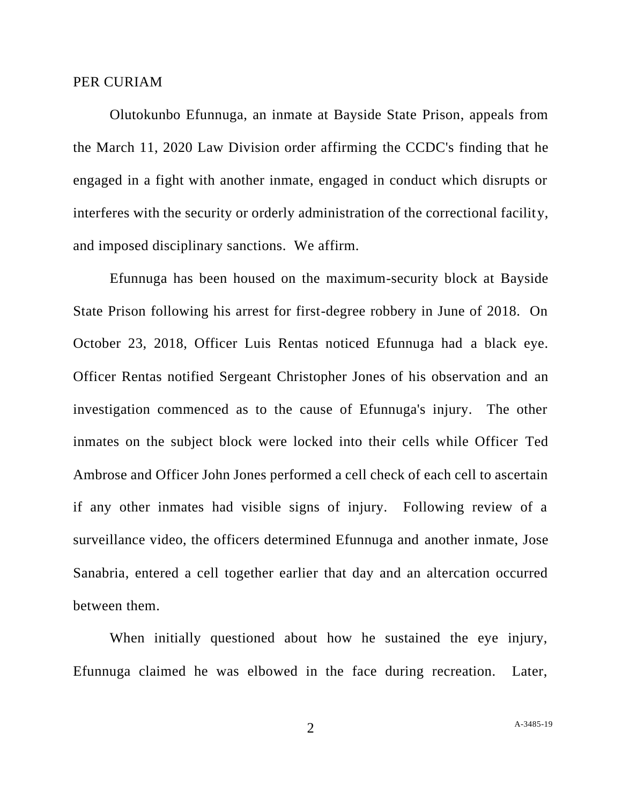## PER CURIAM

Olutokunbo Efunnuga, an inmate at Bayside State Prison, appeals from the March 11, 2020 Law Division order affirming the CCDC's finding that he engaged in a fight with another inmate, engaged in conduct which disrupts or interferes with the security or orderly administration of the correctional facility, and imposed disciplinary sanctions. We affirm.

Efunnuga has been housed on the maximum-security block at Bayside State Prison following his arrest for first-degree robbery in June of 2018. On October 23, 2018, Officer Luis Rentas noticed Efunnuga had a black eye. Officer Rentas notified Sergeant Christopher Jones of his observation and an investigation commenced as to the cause of Efunnuga's injury. The other inmates on the subject block were locked into their cells while Officer Ted Ambrose and Officer John Jones performed a cell check of each cell to ascertain if any other inmates had visible signs of injury. Following review of a surveillance video, the officers determined Efunnuga and another inmate, Jose Sanabria, entered a cell together earlier that day and an altercation occurred between them.

When initially questioned about how he sustained the eye injury, Efunnuga claimed he was elbowed in the face during recreation. Later,

2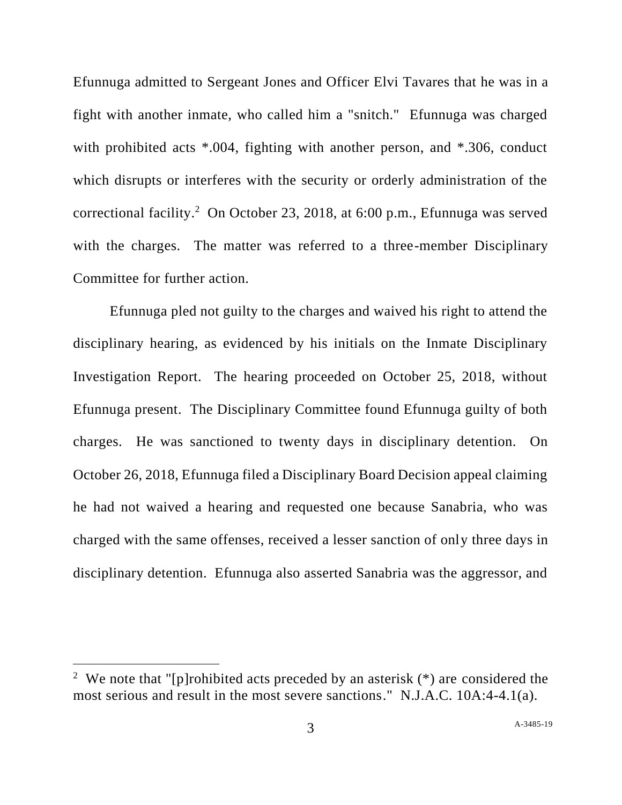Efunnuga admitted to Sergeant Jones and Officer Elvi Tavares that he was in a fight with another inmate, who called him a "snitch." Efunnuga was charged with prohibited acts  $*0.04$ , fighting with another person, and  $*0.306$ , conduct which disrupts or interferes with the security or orderly administration of the correctional facility.<sup>2</sup> On October 23, 2018, at 6:00 p.m., Efunnuga was served with the charges. The matter was referred to a three-member Disciplinary Committee for further action.

Efunnuga pled not guilty to the charges and waived his right to attend the disciplinary hearing, as evidenced by his initials on the Inmate Disciplinary Investigation Report. The hearing proceeded on October 25, 2018, without Efunnuga present. The Disciplinary Committee found Efunnuga guilty of both charges. He was sanctioned to twenty days in disciplinary detention. On October 26, 2018, Efunnuga filed a Disciplinary Board Decision appeal claiming he had not waived a hearing and requested one because Sanabria, who was charged with the same offenses, received a lesser sanction of only three days in disciplinary detention. Efunnuga also asserted Sanabria was the aggressor, and

<sup>&</sup>lt;sup>2</sup> We note that "[p]rohibited acts preceded by an asterisk  $(*)$  are considered the most serious and result in the most severe sanctions." N.J.A.C. 10A:4-4.1(a).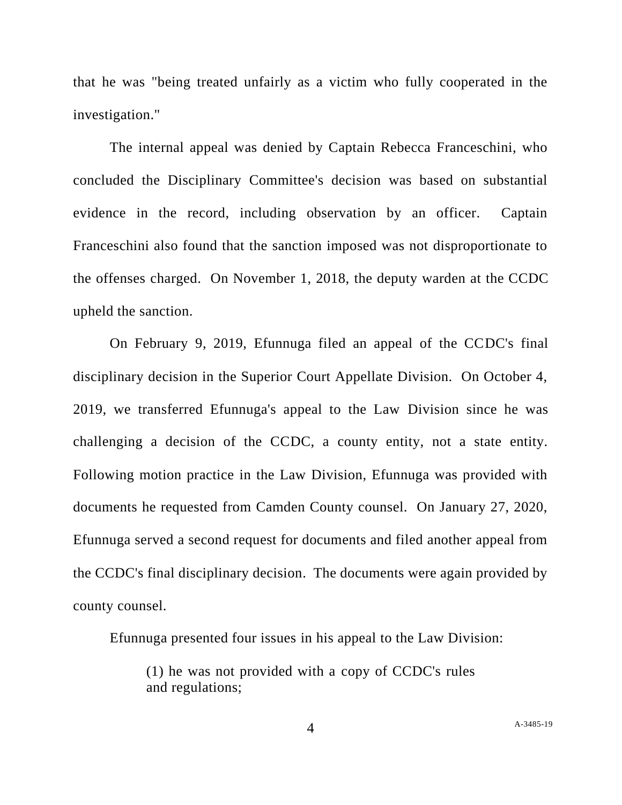that he was "being treated unfairly as a victim who fully cooperated in the investigation."

The internal appeal was denied by Captain Rebecca Franceschini, who concluded the Disciplinary Committee's decision was based on substantial evidence in the record, including observation by an officer. Captain Franceschini also found that the sanction imposed was not disproportionate to the offenses charged. On November 1, 2018, the deputy warden at the CCDC upheld the sanction.

On February 9, 2019, Efunnuga filed an appeal of the CCDC's final disciplinary decision in the Superior Court Appellate Division. On October 4, 2019, we transferred Efunnuga's appeal to the Law Division since he was challenging a decision of the CCDC, a county entity, not a state entity. Following motion practice in the Law Division, Efunnuga was provided with documents he requested from Camden County counsel. On January 27, 2020, Efunnuga served a second request for documents and filed another appeal from the CCDC's final disciplinary decision. The documents were again provided by county counsel.

Efunnuga presented four issues in his appeal to the Law Division:

(1) he was not provided with a copy of CCDC's rules and regulations;

4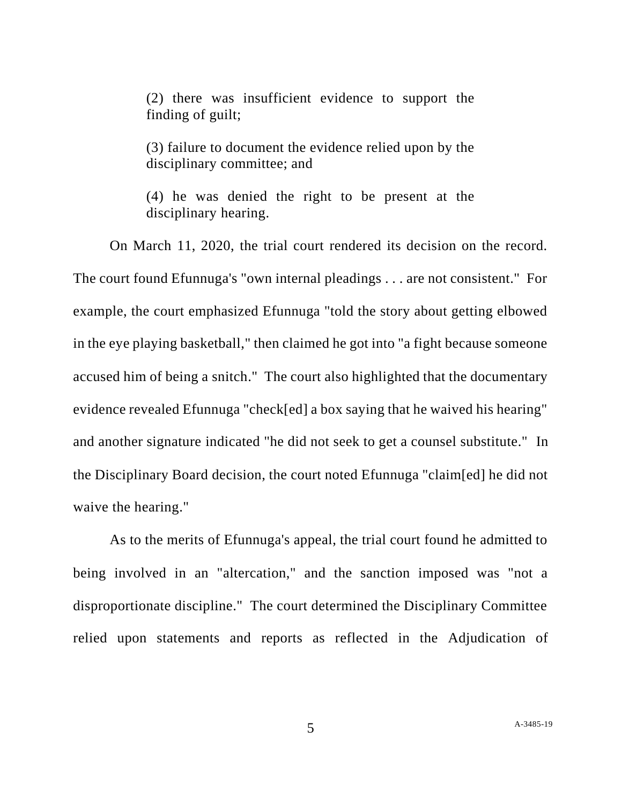(2) there was insufficient evidence to support the finding of guilt;

(3) failure to document the evidence relied upon by the disciplinary committee; and

(4) he was denied the right to be present at the disciplinary hearing.

On March 11, 2020, the trial court rendered its decision on the record. The court found Efunnuga's "own internal pleadings . . . are not consistent." For example, the court emphasized Efunnuga "told the story about getting elbowed in the eye playing basketball," then claimed he got into "a fight because someone accused him of being a snitch." The court also highlighted that the documentary evidence revealed Efunnuga "check[ed] a box saying that he waived his hearing" and another signature indicated "he did not seek to get a counsel substitute." In the Disciplinary Board decision, the court noted Efunnuga "claim[ed] he did not waive the hearing."

As to the merits of Efunnuga's appeal, the trial court found he admitted to being involved in an "altercation," and the sanction imposed was "not a disproportionate discipline." The court determined the Disciplinary Committee relied upon statements and reports as reflected in the Adjudication of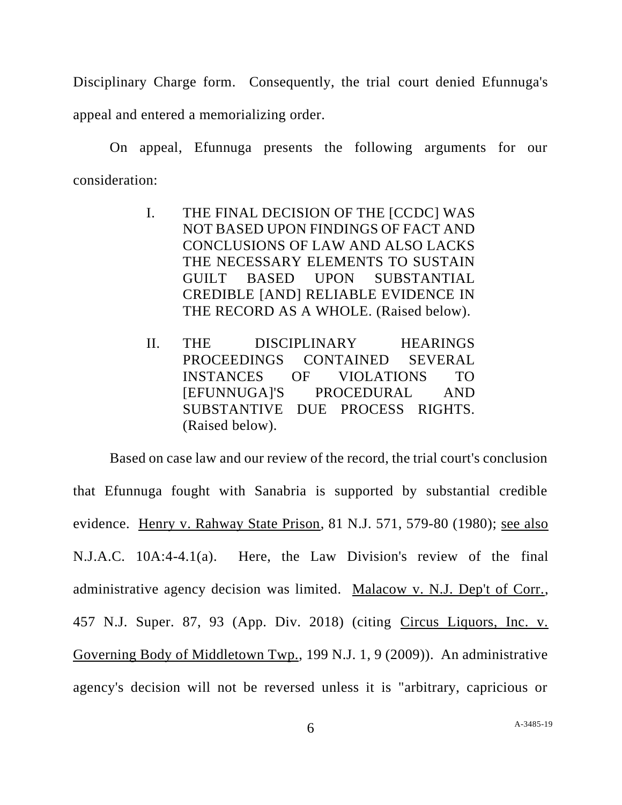Disciplinary Charge form. Consequently, the trial court denied Efunnuga's appeal and entered a memorializing order.

On appeal, Efunnuga presents the following arguments for our consideration:

- I. THE FINAL DECISION OF THE [CCDC] WAS NOT BASED UPON FINDINGS OF FACT AND CONCLUSIONS OF LAW AND ALSO LACKS THE NECESSARY ELEMENTS TO SUSTAIN GUILT BASED UPON SUBSTANTIAL CREDIBLE [AND] RELIABLE EVIDENCE IN THE RECORD AS A WHOLE. (Raised below).
- II. THE DISCIPLINARY HEARINGS PROCEEDINGS CONTAINED SEVERAL INSTANCES OF VIOLATIONS TO [EFUNNUGA]'S PROCEDURAL AND SUBSTANTIVE DUE PROCESS RIGHTS. (Raised below).

Based on case law and our review of the record, the trial court's conclusion that Efunnuga fought with Sanabria is supported by substantial credible evidence. Henry v. Rahway State Prison, 81 N.J. 571, 579-80 (1980); see also N.J.A.C. 10A:4-4.1(a). Here, the Law Division's review of the final administrative agency decision was limited. Malacow v. N.J. Dep't of Corr., 457 N.J. Super. 87, 93 (App. Div. 2018) (citing Circus Liquors, Inc. v. Governing Body of Middletown Twp., 199 N.J. 1, 9 (2009)). An administrative agency's decision will not be reversed unless it is "arbitrary, capricious or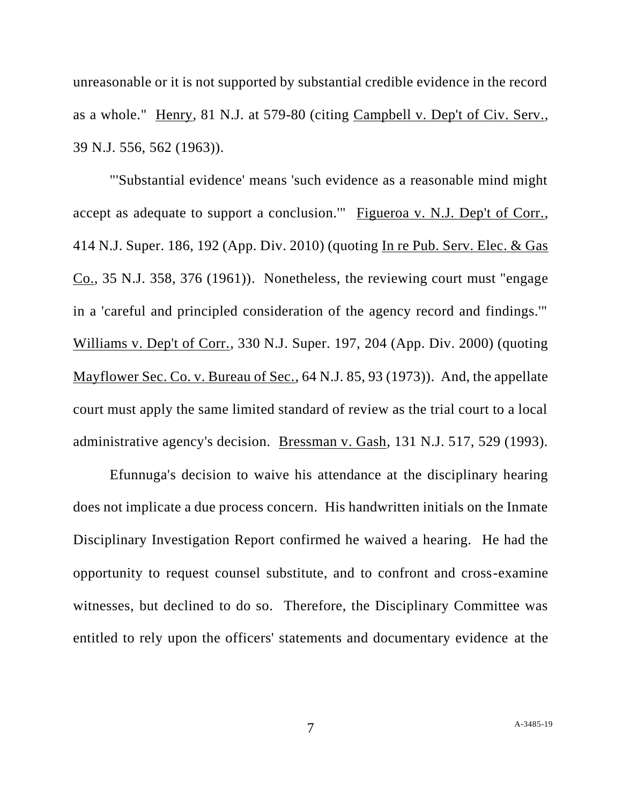unreasonable or it is not supported by substantial credible evidence in the record as a whole." Henry, 81 N.J. at 579-80 (citing Campbell v. Dep't of Civ. Serv., 39 N.J. 556, 562 (1963)).

"'Substantial evidence' means 'such evidence as a reasonable mind might accept as adequate to support a conclusion.'" Figueroa v. N.J. Dep't of Corr., 414 N.J. Super. 186, 192 (App. Div. 2010) (quoting In re Pub. Serv. Elec. & Gas Co., 35 N.J. 358, 376 (1961)). Nonetheless, the reviewing court must "engage in a 'careful and principled consideration of the agency record and findings.'" Williams v. Dep't of Corr., 330 N.J. Super. 197, 204 (App. Div. 2000) (quoting Mayflower Sec. Co. v. Bureau of Sec., 64 N.J. 85, 93 (1973)). And, the appellate court must apply the same limited standard of review as the trial court to a local administrative agency's decision. Bressman v. Gash, 131 N.J. 517, 529 (1993).

Efunnuga's decision to waive his attendance at the disciplinary hearing does not implicate a due process concern. His handwritten initials on the Inmate Disciplinary Investigation Report confirmed he waived a hearing. He had the opportunity to request counsel substitute, and to confront and cross-examine witnesses, but declined to do so. Therefore, the Disciplinary Committee was entitled to rely upon the officers' statements and documentary evidence at the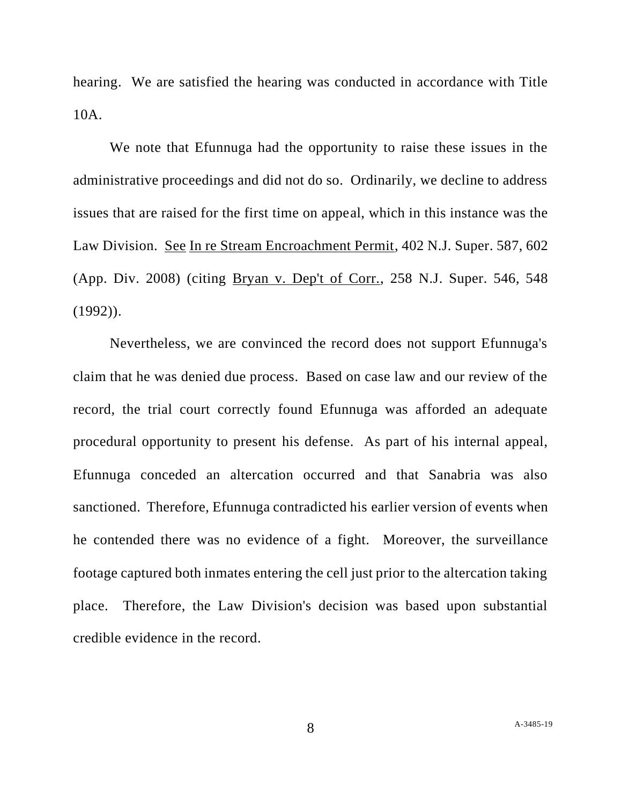hearing. We are satisfied the hearing was conducted in accordance with Title 10A.

We note that Efunnuga had the opportunity to raise these issues in the administrative proceedings and did not do so. Ordinarily, we decline to address issues that are raised for the first time on appeal, which in this instance was the Law Division. See In re Stream Encroachment Permit, 402 N.J. Super. 587, 602 (App. Div. 2008) (citing Bryan v. Dep't of Corr., 258 N.J. Super. 546, 548 (1992)).

Nevertheless, we are convinced the record does not support Efunnuga's claim that he was denied due process. Based on case law and our review of the record, the trial court correctly found Efunnuga was afforded an adequate procedural opportunity to present his defense. As part of his internal appeal, Efunnuga conceded an altercation occurred and that Sanabria was also sanctioned. Therefore, Efunnuga contradicted his earlier version of events when he contended there was no evidence of a fight. Moreover, the surveillance footage captured both inmates entering the cell just prior to the altercation taking place. Therefore, the Law Division's decision was based upon substantial credible evidence in the record.

8